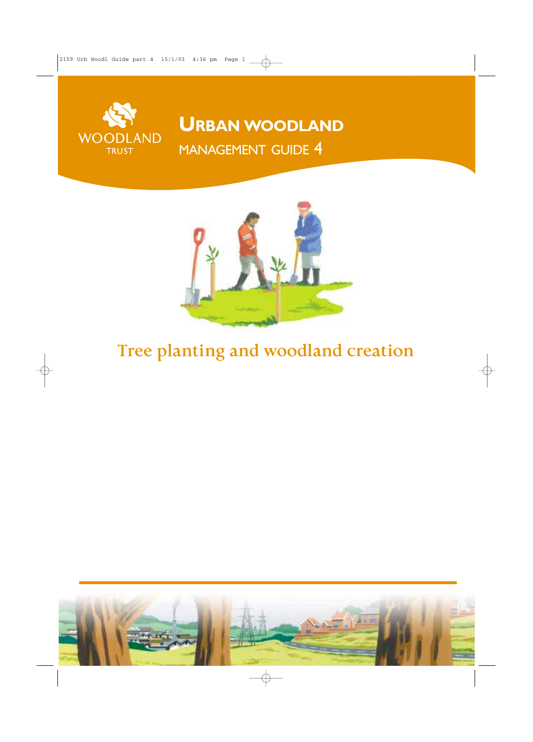

**URBAN WOODLAND** MANAGEMENT GUIDE 4



# **Tree planting and woodland creation**

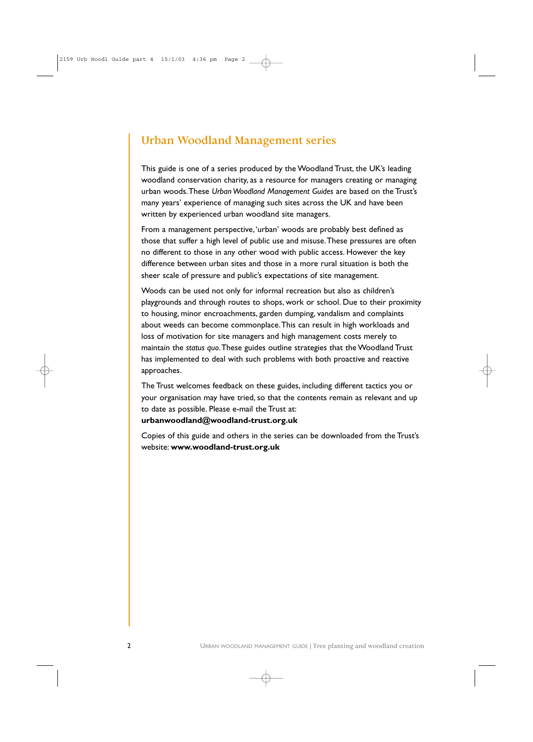## **Urban Woodland Management series**

This guide is one of a series produced by the Woodland Trust, the UK's leading woodland conservation charity, as a resource for managers creating or managing urban woods.These *Urban Woodland Management Guides* are based on the Trust's many years' experience of managing such sites across the UK and have been written by experienced urban woodland site managers.

From a management perspective,'urban' woods are probably best defined as those that suffer a high level of public use and misuse.These pressures are often no different to those in any other wood with public access. However the key difference between urban sites and those in a more rural situation is both the sheer scale of pressure and public's expectations of site management.

Woods can be used not only for informal recreation but also as children's playgrounds and through routes to shops, work or school. Due to their proximity to housing, minor encroachments, garden dumping, vandalism and complaints about weeds can become commonplace.This can result in high workloads and loss of motivation for site managers and high management costs merely to maintain the *status quo*.These guides outline strategies that the Woodland Trust has implemented to deal with such problems with both proactive and reactive approaches.

The Trust welcomes feedback on these guides, including different tactics you or your organisation may have tried, so that the contents remain as relevant and up to date as possible. Please e-mail the Trust at:

### **urbanwoodland@woodland-trust.org.uk**

Copies of this guide and others in the series can be downloaded from the Trust's website: **www.woodland-trust.org.uk**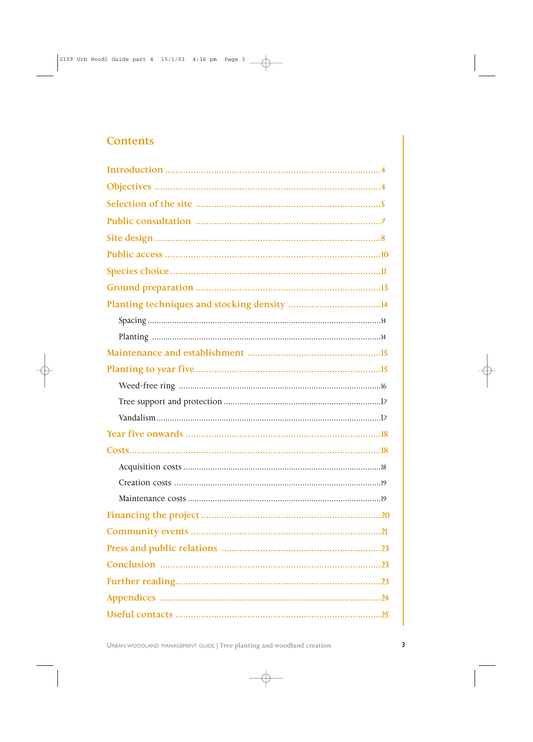## **Contents**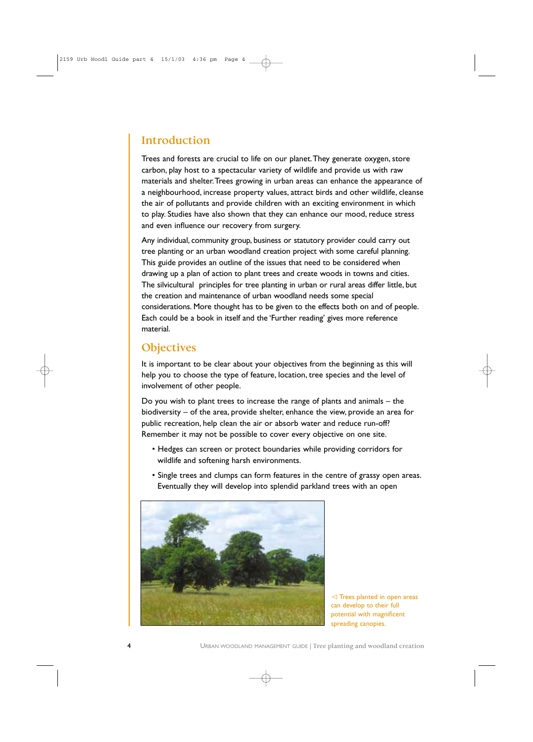## **Introduction**

Trees and forests are crucial to life on our planet.They generate oxygen, store carbon, play host to a spectacular variety of wildlife and provide us with raw materials and shelter.Trees growing in urban areas can enhance the appearance of a neighbourhood, increase property values, attract birds and other wildlife, cleanse the air of pollutants and provide children with an exciting environment in which to play. Studies have also shown that they can enhance our mood, reduce stress and even influence our recovery from surgery.

Any individual, community group, business or statutory provider could carry out tree planting or an urban woodland creation project with some careful planning. This guide provides an outline of the issues that need to be considered when drawing up a plan of action to plant trees and create woods in towns and cities. The silvicultural principles for tree planting in urban or rural areas differ little, but the creation and maintenance of urban woodland needs some special considerations. More thought has to be given to the effects both on and of people. Each could be a book in itself and the 'Further reading' gives more reference material.

## **Objectives**

It is important to be clear about your objectives from the beginning as this will help you to choose the type of feature, location, tree species and the level of involvement of other people.

Do you wish to plant trees to increase the range of plants and animals – the biodiversity – of the area, provide shelter, enhance the view, provide an area for public recreation, help clean the air or absorb water and reduce run-off? Remember it may not be possible to cover every objective on one site.

- Hedges can screen or protect boundaries while providing corridors for wildlife and softening harsh environments.
- Single trees and clumps can form features in the centre of grassy open areas. Eventually they will develop into splendid parkland trees with an open



 $\triangleleft$  Trees planted in open areas can develop to their full potential with magnificent spreading canopies.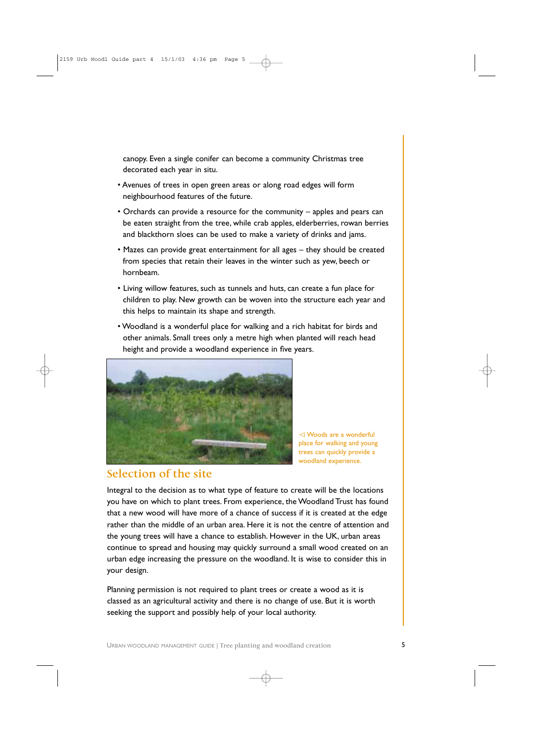canopy. Even a single conifer can become a community Christmas tree decorated each year in situ.

- Avenues of trees in open green areas or along road edges will form neighbourhood features of the future.
- Orchards can provide a resource for the community apples and pears can be eaten straight from the tree, while crab apples, elderberries, rowan berries and blackthorn sloes can be used to make a variety of drinks and jams.
- Mazes can provide great entertainment for all ages they should be created from species that retain their leaves in the winter such as yew, beech or hornbeam.
- Living willow features, such as tunnels and huts, can create a fun place for children to play. New growth can be woven into the structure each year and this helps to maintain its shape and strength.
- Woodland is a wonderful place for walking and a rich habitat for birds and other animals. Small trees only a metre high when planted will reach head height and provide a woodland experience in five years.



 Woods are a wonderful place for walking and young trees can quickly provide a woodland experience.

## **Selection of the site**

Integral to the decision as to what type of feature to create will be the locations you have on which to plant trees. From experience, the Woodland Trust has found that a new wood will have more of a chance of success if it is created at the edge rather than the middle of an urban area. Here it is not the centre of attention and the young trees will have a chance to establish. However in the UK, urban areas continue to spread and housing may quickly surround a small wood created on an urban edge increasing the pressure on the woodland. It is wise to consider this in your design.

Planning permission is not required to plant trees or create a wood as it is classed as an agricultural activity and there is no change of use. But it is worth seeking the support and possibly help of your local authority.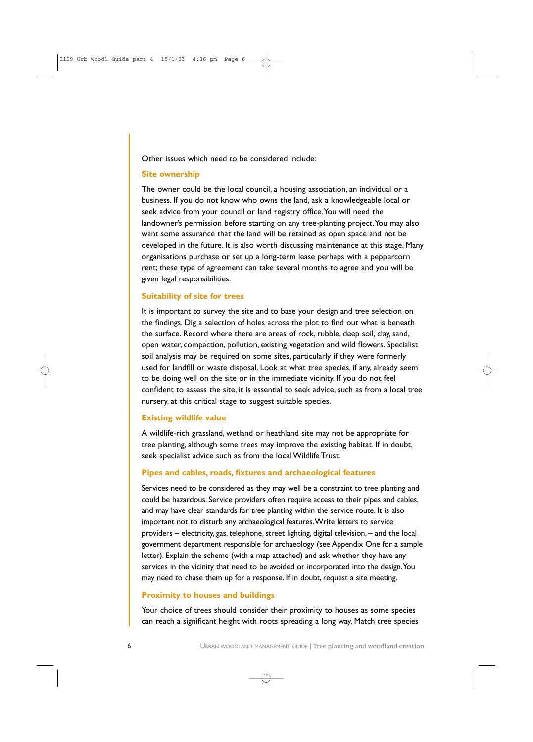Other issues which need to be considered include:

#### **Site ownership**

The owner could be the local council, a housing association, an individual or a business. If you do not know who owns the land, ask a knowledgeable local or seek advice from your council or land registry office.You will need the landowner's permission before starting on any tree-planting project. You may also want some assurance that the land will be retained as open space and not be developed in the future. It is also worth discussing maintenance at this stage. Many organisations purchase or set up a long-term lease perhaps with a peppercorn rent; these type of agreement can take several months to agree and you will be given legal responsibilities.

### **Suitability of site for trees**

It is important to survey the site and to base your design and tree selection on the findings. Dig a selection of holes across the plot to find out what is beneath the surface. Record where there are areas of rock, rubble, deep soil, clay, sand, open water, compaction, pollution, existing vegetation and wild flowers. Specialist soil analysis may be required on some sites, particularly if they were formerly used for landfill or waste disposal. Look at what tree species, if any, already seem to be doing well on the site or in the immediate vicinity. If you do not feel confident to assess the site, it is essential to seek advice, such as from a local tree nursery, at this critical stage to suggest suitable species.

#### **Existing wildlife value**

A wildlife-rich grassland, wetland or heathland site may not be appropriate for tree planting, although some trees may improve the existing habitat. If in doubt, seek specialist advice such as from the local Wildlife Trust.

#### **Pipes and cables, roads, fixtures and archaeological features**

Services need to be considered as they may well be a constraint to tree planting and could be hazardous. Service providers often require access to their pipes and cables, and may have clear standards for tree planting within the service route. It is also important not to disturb any archaeological features.Write letters to service providers – electricity, gas, telephone, street lighting, digital television, – and the local government department responsible for archaeology (see Appendix One for a sample letter). Explain the scheme (with a map attached) and ask whether they have any services in the vicinity that need to be avoided or incorporated into the design.You may need to chase them up for a response. If in doubt, request a site meeting.

### **Proximity to houses and buildings**

Your choice of trees should consider their proximity to houses as some species can reach a significant height with roots spreading a long way. Match tree species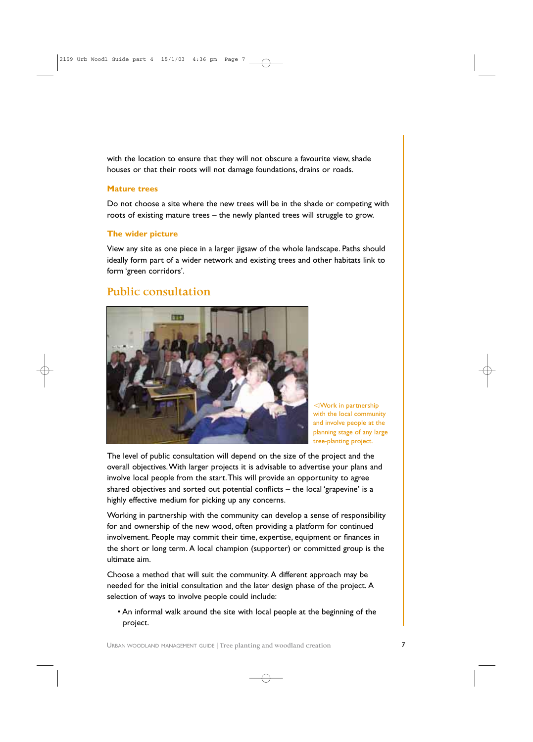with the location to ensure that they will not obscure a favourite view, shade houses or that their roots will not damage foundations, drains or roads.

### **Mature trees**

Do not choose a site where the new trees will be in the shade or competing with roots of existing mature trees – the newly planted trees will struggle to grow.

### **The wider picture**

View any site as one piece in a larger jigsaw of the whole landscape. Paths should ideally form part of a wider network and existing trees and other habitats link to form 'green corridors'.

### **Public consultation**



Work in partnership with the local community and involve people at the planning stage of any large tree-planting project.

The level of public consultation will depend on the size of the project and the overall objectives.With larger projects it is advisable to advertise your plans and involve local people from the start.This will provide an opportunity to agree shared objectives and sorted out potential conflicts – the local 'grapevine' is a highly effective medium for picking up any concerns.

Working in partnership with the community can develop a sense of responsibility for and ownership of the new wood, often providing a platform for continued involvement. People may commit their time, expertise, equipment or finances in the short or long term. A local champion (supporter) or committed group is the ultimate aim.

Choose a method that will suit the community. A different approach may be needed for the initial consultation and the later design phase of the project. A selection of ways to involve people could include:

• An informal walk around the site with local people at the beginning of the project.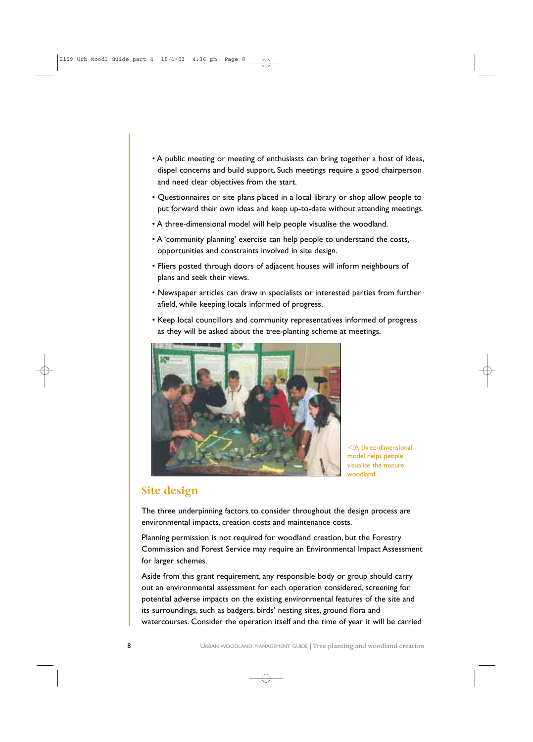- A public meeting or meeting of enthusiasts can bring together a host of ideas, dispel concerns and build support. Such meetings require a good chairperson and need clear objectives from the start.
- Questionnaires or site plans placed in a local library or shop allow people to put forward their own ideas and keep up-to-date without attending meetings.
- A three-dimensional model will help people visualise the woodland.
- A 'community planning' exercise can help people to understand the costs, opportunities and constraints involved in site design.
- Fliers posted through doors of adjacent houses will inform neighbours of plans and seek their views.
- Newspaper articles can draw in specialists or interested parties from further afield, while keeping locals informed of progress.
- Keep local councillors and community representatives informed of progress as they will be asked about the tree-planting scheme at meetings.



A three-dimensional model helps people visualise the mature woodland.

### **Site design**

The three underpinning factors to consider throughout the design process are environmental impacts, creation costs and maintenance costs.

Planning permission is not required for woodland creation, but the Forestry Commission and Forest Service may require an Environmental Impact Assessment for larger schemes.

Aside from this grant requirement, any responsible body or group should carry out an environmental assessment for each operation considered, screening for potential adverse impacts on the existing environmental features of the site and its surroundings, such as badgers, birds' nesting sites, ground flora and watercourses. Consider the operation itself and the time of year it will be carried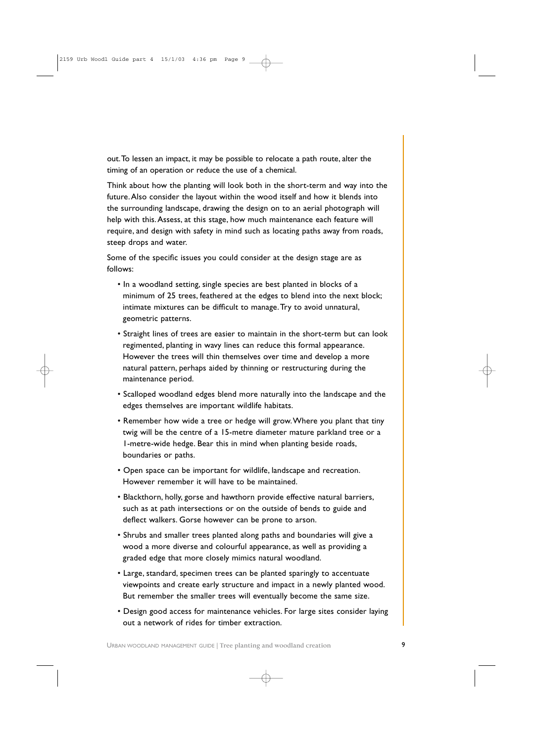out.To lessen an impact, it may be possible to relocate a path route, alter the timing of an operation or reduce the use of a chemical.

Think about how the planting will look both in the short-term and way into the future.Also consider the layout within the wood itself and how it blends into the surrounding landscape, drawing the design on to an aerial photograph will help with this. Assess, at this stage, how much maintenance each feature will require, and design with safety in mind such as locating paths away from roads, steep drops and water.

Some of the specific issues you could consider at the design stage are as follows:

- In a woodland setting, single species are best planted in blocks of a minimum of 25 trees, feathered at the edges to blend into the next block; intimate mixtures can be difficult to manage.Try to avoid unnatural, geometric patterns.
- Straight lines of trees are easier to maintain in the short-term but can look regimented, planting in wavy lines can reduce this formal appearance. However the trees will thin themselves over time and develop a more natural pattern, perhaps aided by thinning or restructuring during the maintenance period.
- Scalloped woodland edges blend more naturally into the landscape and the edges themselves are important wildlife habitats.
- Remember how wide a tree or hedge will grow.Where you plant that tiny twig will be the centre of a 15-metre diameter mature parkland tree or a 1-metre-wide hedge. Bear this in mind when planting beside roads, boundaries or paths.
- Open space can be important for wildlife, landscape and recreation. However remember it will have to be maintained.
- Blackthorn, holly, gorse and hawthorn provide effective natural barriers, such as at path intersections or on the outside of bends to guide and deflect walkers. Gorse however can be prone to arson.
- Shrubs and smaller trees planted along paths and boundaries will give a wood a more diverse and colourful appearance, as well as providing a graded edge that more closely mimics natural woodland.
- Large, standard, specimen trees can be planted sparingly to accentuate viewpoints and create early structure and impact in a newly planted wood. But remember the smaller trees will eventually become the same size.
- Design good access for maintenance vehicles. For large sites consider laying out a network of rides for timber extraction.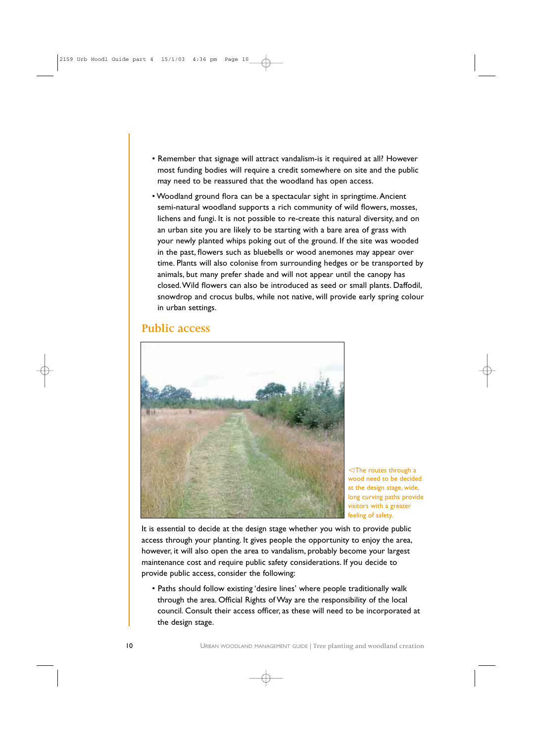- Remember that signage will attract vandalism-is it required at all? However most funding bodies will require a credit somewhere on site and the public may need to be reassured that the woodland has open access.
- Woodland ground flora can be a spectacular sight in springtime.Ancient semi-natural woodland supports a rich community of wild flowers, mosses, lichens and fungi. It is not possible to re-create this natural diversity, and on an urban site you are likely to be starting with a bare area of grass with your newly planted whips poking out of the ground. If the site was wooded in the past, flowers such as bluebells or wood anemones may appear over time. Plants will also colonise from surrounding hedges or be transported by animals, but many prefer shade and will not appear until the canopy has closed.Wild flowers can also be introduced as seed or small plants. Daffodil, snowdrop and crocus bulbs, while not native, will provide early spring colour in urban settings.

### **Public access**



 $\triangleleft$ The routes through a wood need to be decided at the design stage, wide, long curving paths provide visitors with a greater feeling of safety.

It is essential to decide at the design stage whether you wish to provide public access through your planting. It gives people the opportunity to enjoy the area, however, it will also open the area to vandalism, probably become your largest maintenance cost and require public safety considerations. If you decide to provide public access, consider the following:

• Paths should follow existing 'desire lines' where people traditionally walk through the area. Official Rights of Way are the responsibility of the local council. Consult their access officer, as these will need to be incorporated at the design stage.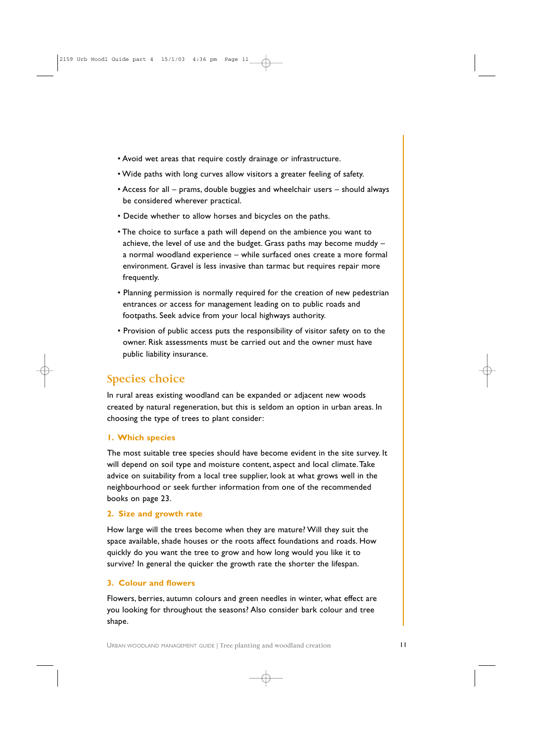- Avoid wet areas that require costly drainage or infrastructure.
- Wide paths with long curves allow visitors a greater feeling of safety.
- Access for all prams, double buggies and wheelchair users should always be considered wherever practical.
- Decide whether to allow horses and bicycles on the paths.
- The choice to surface a path will depend on the ambience you want to achieve, the level of use and the budget. Grass paths may become muddy – a normal woodland experience – while surfaced ones create a more formal environment. Gravel is less invasive than tarmac but requires repair more frequently.
- Planning permission is normally required for the creation of new pedestrian entrances or access for management leading on to public roads and footpaths. Seek advice from your local highways authority.
- Provision of public access puts the responsibility of visitor safety on to the owner. Risk assessments must be carried out and the owner must have public liability insurance.

## **Species choice**

In rural areas existing woodland can be expanded or adjacent new woods created by natural regeneration, but this is seldom an option in urban areas. In choosing the type of trees to plant consider:

### **1. Which species**

The most suitable tree species should have become evident in the site survey. It will depend on soil type and moisture content, aspect and local climate.Take advice on suitability from a local tree supplier, look at what grows well in the neighbourhood or seek further information from one of the recommended books on page 23.

### **2. Size and growth rate**

How large will the trees become when they are mature? Will they suit the space available, shade houses or the roots affect foundations and roads. How quickly do you want the tree to grow and how long would you like it to survive? In general the quicker the growth rate the shorter the lifespan.

### **3. Colour and flowers**

Flowers, berries, autumn colours and green needles in winter, what effect are you looking for throughout the seasons? Also consider bark colour and tree shape.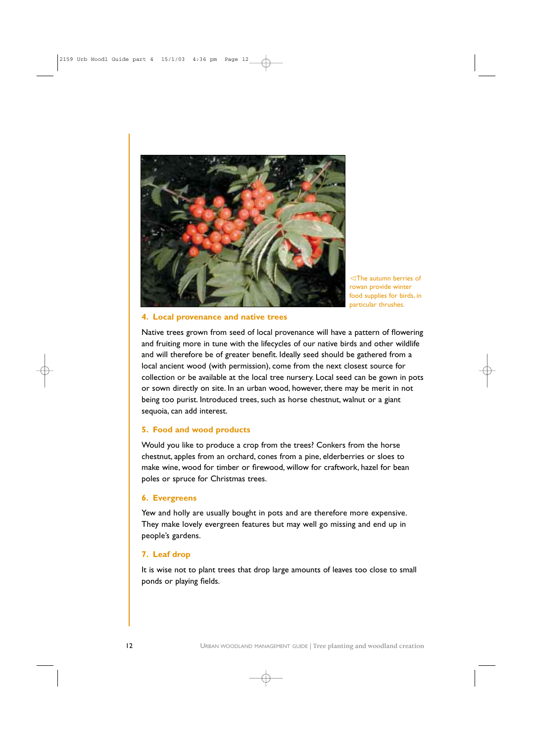![](_page_11_Picture_0.jpeg)

The autumn berries of rowan provide winter food supplies for birds, in particular thrushes.

#### **4. Local provenance and native trees**

Native trees grown from seed of local provenance will have a pattern of flowering and fruiting more in tune with the lifecycles of our native birds and other wildlife and will therefore be of greater benefit. Ideally seed should be gathered from a local ancient wood (with permission), come from the next closest source for collection or be available at the local tree nursery. Local seed can be gown in pots or sown directly on site. In an urban wood, however, there may be merit in not being too purist. Introduced trees, such as horse chestnut, walnut or a giant sequoia, can add interest.

### **5. Food and wood products**

Would you like to produce a crop from the trees? Conkers from the horse chestnut, apples from an orchard, cones from a pine, elderberries or sloes to make wine, wood for timber or firewood, willow for craftwork, hazel for bean poles or spruce for Christmas trees.

#### **6. Evergreens**

Yew and holly are usually bought in pots and are therefore more expensive. They make lovely evergreen features but may well go missing and end up in people's gardens.

### **7. Leaf drop**

It is wise not to plant trees that drop large amounts of leaves too close to small ponds or playing fields.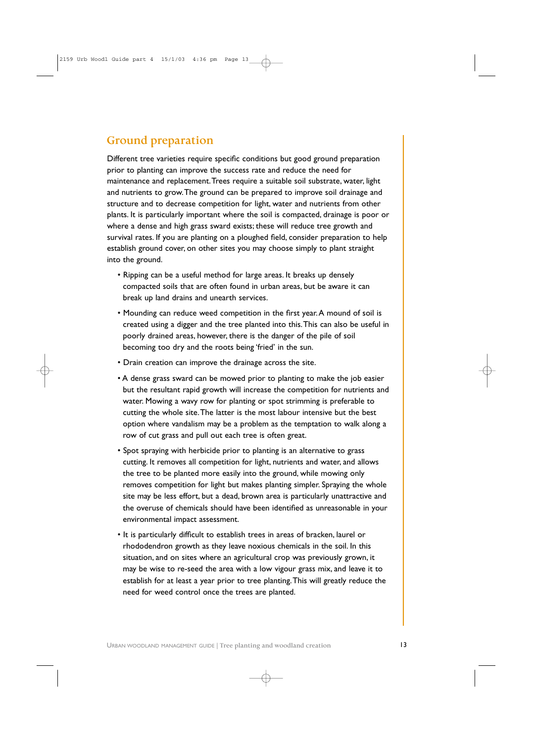## **Ground preparation**

Different tree varieties require specific conditions but good ground preparation prior to planting can improve the success rate and reduce the need for maintenance and replacement.Trees require a suitable soil substrate, water, light and nutrients to grow.The ground can be prepared to improve soil drainage and structure and to decrease competition for light, water and nutrients from other plants. It is particularly important where the soil is compacted, drainage is poor or where a dense and high grass sward exists; these will reduce tree growth and survival rates. If you are planting on a ploughed field, consider preparation to help establish ground cover, on other sites you may choose simply to plant straight into the ground.

- Ripping can be a useful method for large areas. It breaks up densely compacted soils that are often found in urban areas, but be aware it can break up land drains and unearth services.
- Mounding can reduce weed competition in the first year.A mound of soil is created using a digger and the tree planted into this.This can also be useful in poorly drained areas, however, there is the danger of the pile of soil becoming too dry and the roots being 'fried' in the sun.
- Drain creation can improve the drainage across the site.
- A dense grass sward can be mowed prior to planting to make the job easier but the resultant rapid growth will increase the competition for nutrients and water. Mowing a wavy row for planting or spot strimming is preferable to cutting the whole site.The latter is the most labour intensive but the best option where vandalism may be a problem as the temptation to walk along a row of cut grass and pull out each tree is often great.
- Spot spraying with herbicide prior to planting is an alternative to grass cutting. It removes all competition for light, nutrients and water, and allows the tree to be planted more easily into the ground, while mowing only removes competition for light but makes planting simpler. Spraying the whole site may be less effort, but a dead, brown area is particularly unattractive and the overuse of chemicals should have been identified as unreasonable in your environmental impact assessment.
- It is particularly difficult to establish trees in areas of bracken, laurel or rhododendron growth as they leave noxious chemicals in the soil. In this situation, and on sites where an agricultural crop was previously grown, it may be wise to re-seed the area with a low vigour grass mix, and leave it to establish for at least a year prior to tree planting.This will greatly reduce the need for weed control once the trees are planted.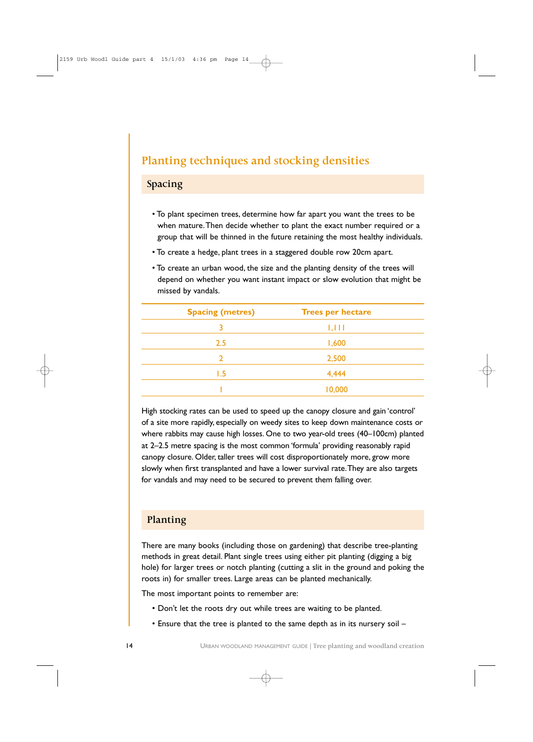## **Planting techniques and stocking densities**

### **Spacing**

- To plant specimen trees, determine how far apart you want the trees to be when mature.Then decide whether to plant the exact number required or a group that will be thinned in the future retaining the most healthy individuals.
- To create a hedge, plant trees in a staggered double row 20cm apart.
- To create an urban wood, the size and the planting density of the trees will depend on whether you want instant impact or slow evolution that might be missed by vandals.

| <b>Spacing (metres)</b> | <b>Trees per hectare</b> |  |
|-------------------------|--------------------------|--|
| 3                       | 1,111                    |  |
| 2.5                     | 1,600                    |  |
|                         | 2,500                    |  |
| l .5                    | 4,444                    |  |
|                         | 10,000                   |  |

High stocking rates can be used to speed up the canopy closure and gain 'control' of a site more rapidly, especially on weedy sites to keep down maintenance costs or where rabbits may cause high losses. One to two year-old trees (40–100cm) planted at 2–2.5 metre spacing is the most common 'formula' providing reasonably rapid canopy closure. Older, taller trees will cost disproportionately more, grow more slowly when first transplanted and have a lower survival rate.They are also targets for vandals and may need to be secured to prevent them falling over.

### **Planting**

There are many books (including those on gardening) that describe tree-planting methods in great detail. Plant single trees using either pit planting (digging a big hole) for larger trees or notch planting (cutting a slit in the ground and poking the roots in) for smaller trees. Large areas can be planted mechanically.

The most important points to remember are:

- Don't let the roots dry out while trees are waiting to be planted.
- Ensure that the tree is planted to the same depth as in its nursery soil –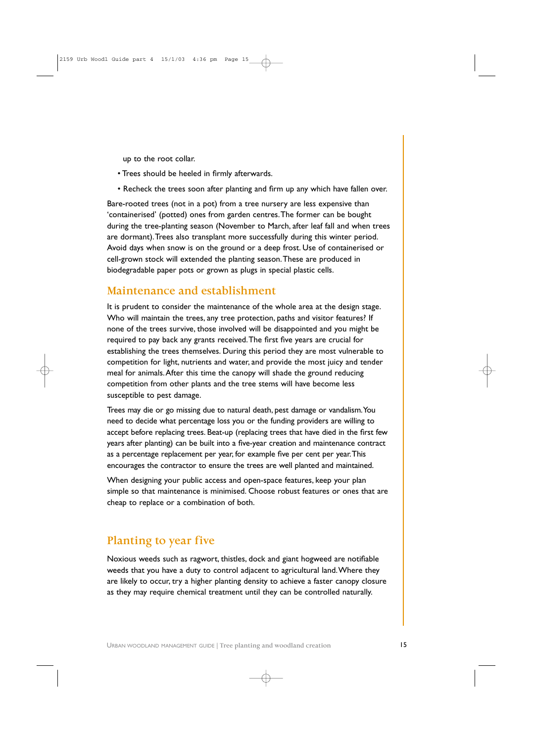up to the root collar.

- Trees should be heeled in firmly afterwards.
- Recheck the trees soon after planting and firm up any which have fallen over.

Bare-rooted trees (not in a pot) from a tree nursery are less expensive than 'containerised' (potted) ones from garden centres.The former can be bought during the tree-planting season (November to March, after leaf fall and when trees are dormant).Trees also transplant more successfully during this winter period. Avoid days when snow is on the ground or a deep frost. Use of containerised or cell-grown stock will extended the planting season.These are produced in biodegradable paper pots or grown as plugs in special plastic cells.

### **Maintenance and establishment**

It is prudent to consider the maintenance of the whole area at the design stage. Who will maintain the trees, any tree protection, paths and visitor features? If none of the trees survive, those involved will be disappointed and you might be required to pay back any grants received.The first five years are crucial for establishing the trees themselves. During this period they are most vulnerable to competition for light, nutrients and water, and provide the most juicy and tender meal for animals.After this time the canopy will shade the ground reducing competition from other plants and the tree stems will have become less susceptible to pest damage.

Trees may die or go missing due to natural death, pest damage or vandalism.You need to decide what percentage loss you or the funding providers are willing to accept before replacing trees. Beat-up (replacing trees that have died in the first few years after planting) can be built into a five-year creation and maintenance contract as a percentage replacement per year, for example five per cent per year.This encourages the contractor to ensure the trees are well planted and maintained.

When designing your public access and open-space features, keep your plan simple so that maintenance is minimised. Choose robust features or ones that are cheap to replace or a combination of both.

## **Planting to year five**

Noxious weeds such as ragwort, thistles, dock and giant hogweed are notifiable weeds that you have a duty to control adjacent to agricultural land.Where they are likely to occur, try a higher planting density to achieve a faster canopy closure as they may require chemical treatment until they can be controlled naturally.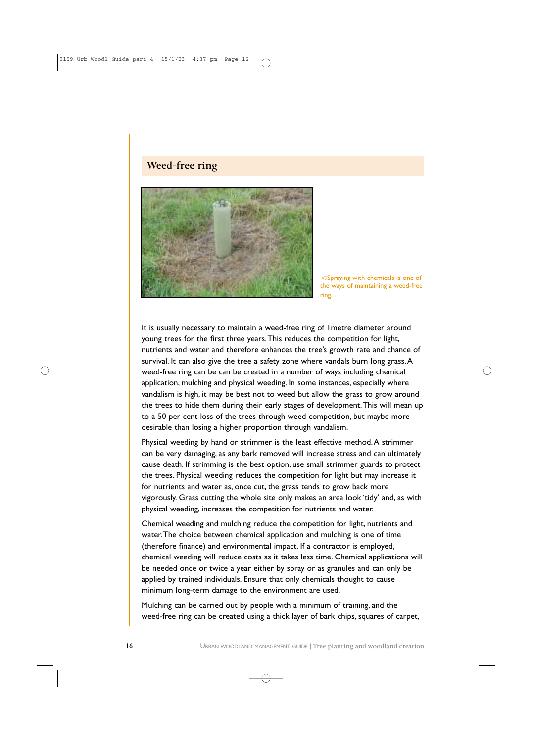### **Weed-free ring**

![](_page_15_Picture_1.jpeg)

 $\triangle$ Spraying with chemicals is one of the ways of maintaining a weed-free ring.

It is usually necessary to maintain a weed-free ring of 1metre diameter around young trees for the first three years.This reduces the competition for light, nutrients and water and therefore enhances the tree's growth rate and chance of survival. It can also give the tree a safety zone where vandals burn long grass. A weed-free ring can be can be created in a number of ways including chemical application, mulching and physical weeding. In some instances, especially where vandalism is high, it may be best not to weed but allow the grass to grow around the trees to hide them during their early stages of development.This will mean up to a 50 per cent loss of the trees through weed competition, but maybe more desirable than losing a higher proportion through vandalism.

Physical weeding by hand or strimmer is the least effective method.A strimmer can be very damaging, as any bark removed will increase stress and can ultimately cause death. If strimming is the best option, use small strimmer guards to protect the trees. Physical weeding reduces the competition for light but may increase it for nutrients and water as, once cut, the grass tends to grow back more vigorously. Grass cutting the whole site only makes an area look 'tidy' and, as with physical weeding, increases the competition for nutrients and water.

Chemical weeding and mulching reduce the competition for light, nutrients and water.The choice between chemical application and mulching is one of time (therefore finance) and environmental impact. If a contractor is employed, chemical weeding will reduce costs as it takes less time. Chemical applications will be needed once or twice a year either by spray or as granules and can only be applied by trained individuals. Ensure that only chemicals thought to cause minimum long-term damage to the environment are used.

Mulching can be carried out by people with a minimum of training, and the weed-free ring can be created using a thick layer of bark chips, squares of carpet,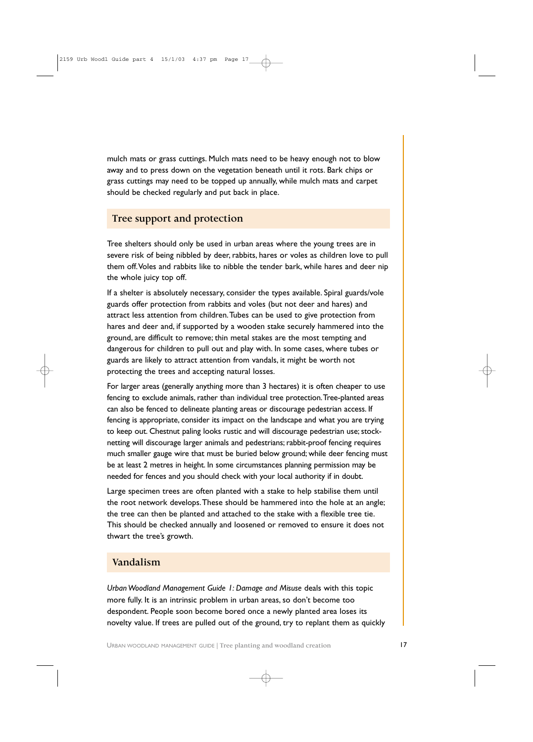mulch mats or grass cuttings. Mulch mats need to be heavy enough not to blow away and to press down on the vegetation beneath until it rots. Bark chips or grass cuttings may need to be topped up annually, while mulch mats and carpet should be checked regularly and put back in place.

### **Tree support and protection**

Tree shelters should only be used in urban areas where the young trees are in severe risk of being nibbled by deer, rabbits, hares or voles as children love to pull them off.Voles and rabbits like to nibble the tender bark, while hares and deer nip the whole juicy top off.

If a shelter is absolutely necessary, consider the types available. Spiral guards/vole guards offer protection from rabbits and voles (but not deer and hares) and attract less attention from children.Tubes can be used to give protection from hares and deer and, if supported by a wooden stake securely hammered into the ground, are difficult to remove; thin metal stakes are the most tempting and dangerous for children to pull out and play with. In some cases, where tubes or guards are likely to attract attention from vandals, it might be worth not protecting the trees and accepting natural losses.

For larger areas (generally anything more than 3 hectares) it is often cheaper to use fencing to exclude animals, rather than individual tree protection.Tree-planted areas can also be fenced to delineate planting areas or discourage pedestrian access. If fencing is appropriate, consider its impact on the landscape and what you are trying to keep out. Chestnut paling looks rustic and will discourage pedestrian use; stocknetting will discourage larger animals and pedestrians; rabbit-proof fencing requires much smaller gauge wire that must be buried below ground; while deer fencing must be at least 2 metres in height. In some circumstances planning permission may be needed for fences and you should check with your local authority if in doubt.

Large specimen trees are often planted with a stake to help stabilise them until the root network develops.These should be hammered into the hole at an angle; the tree can then be planted and attached to the stake with a flexible tree tie. This should be checked annually and loosened or removed to ensure it does not thwart the tree's growth.

### **Vandalism**

*Urban Woodland Management Guide 1: Damage and Misuse* deals with this topic more fully. It is an intrinsic problem in urban areas, so don't become too despondent. People soon become bored once a newly planted area loses its novelty value. If trees are pulled out of the ground, try to replant them as quickly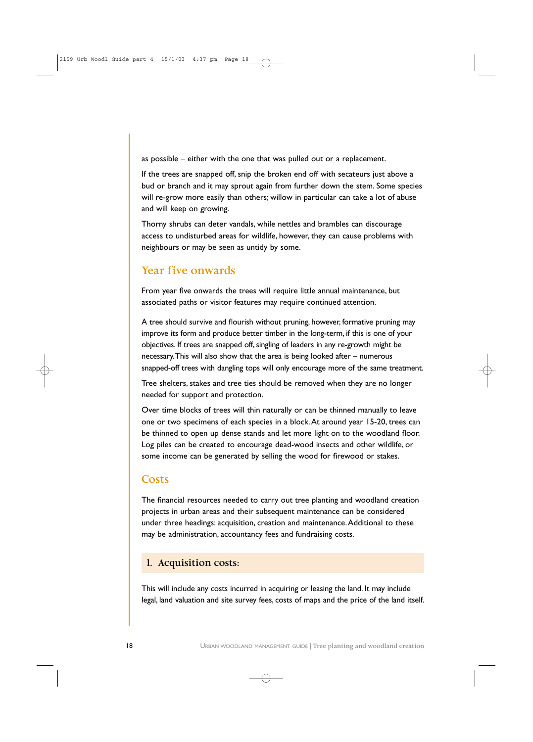as possible – either with the one that was pulled out or a replacement.

If the trees are snapped off, snip the broken end off with secateurs just above a bud or branch and it may sprout again from further down the stem. Some species will re-grow more easily than others; willow in particular can take a lot of abuse and will keep on growing.

Thorny shrubs can deter vandals, while nettles and brambles can discourage access to undisturbed areas for wildlife, however, they can cause problems with neighbours or may be seen as untidy by some.

### **Year five onwards**

From year five onwards the trees will require little annual maintenance, but associated paths or visitor features may require continued attention.

A tree should survive and flourish without pruning, however, formative pruning may improve its form and produce better timber in the long-term, if this is one of your objectives. If trees are snapped off, singling of leaders in any re-growth might be necessary.This will also show that the area is being looked after – numerous snapped-off trees with dangling tops will only encourage more of the same treatment.

Tree shelters, stakes and tree ties should be removed when they are no longer needed for support and protection.

Over time blocks of trees will thin naturally or can be thinned manually to leave one or two specimens of each species in a block.At around year 15-20, trees can be thinned to open up dense stands and let more light on to the woodland floor. Log piles can be created to encourage dead-wood insects and other wildlife, or some income can be generated by selling the wood for firewood or stakes.

### **Costs**

The financial resources needed to carry out tree planting and woodland creation projects in urban areas and their subsequent maintenance can be considered under three headings: acquisition, creation and maintenance.Additional to these may be administration, accountancy fees and fundraising costs.

### **1. Acquisition costs:**

This will include any costs incurred in acquiring or leasing the land. It may include legal, land valuation and site survey fees, costs of maps and the price of the land itself.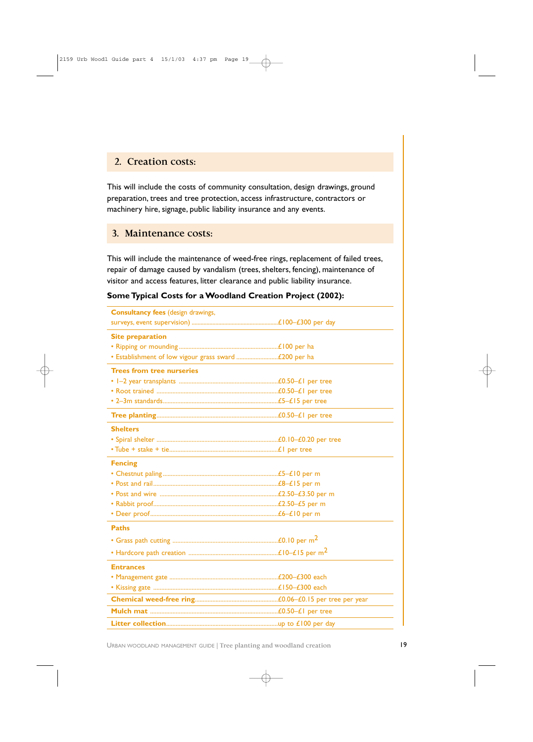### **2. Creation costs:**

This will include the costs of community consultation, design drawings, ground preparation, trees and tree protection, access infrastructure, contractors or machinery hire, signage, public liability insurance and any events.

### **3. Maintenance costs:**

This will include the maintenance of weed-free rings, replacement of failed trees, repair of damage caused by vandalism (trees, shelters, fencing), maintenance of visitor and access features, litter clearance and public liability insurance.

### **Some Typical Costs for a Woodland Creation Project (2002):**

| <b>Consultancy fees (design drawings,</b> |  |
|-------------------------------------------|--|
|                                           |  |
| <b>Site preparation</b>                   |  |
|                                           |  |
|                                           |  |
| <b>Trees from tree nurseries</b>          |  |
|                                           |  |
|                                           |  |
|                                           |  |
|                                           |  |
| <b>Shelters</b>                           |  |
|                                           |  |
|                                           |  |
| <b>Fencing</b>                            |  |
|                                           |  |
|                                           |  |
|                                           |  |
|                                           |  |
|                                           |  |
| <b>Paths</b>                              |  |
|                                           |  |
|                                           |  |
| <b>Entrances</b>                          |  |
|                                           |  |
|                                           |  |
|                                           |  |
|                                           |  |
|                                           |  |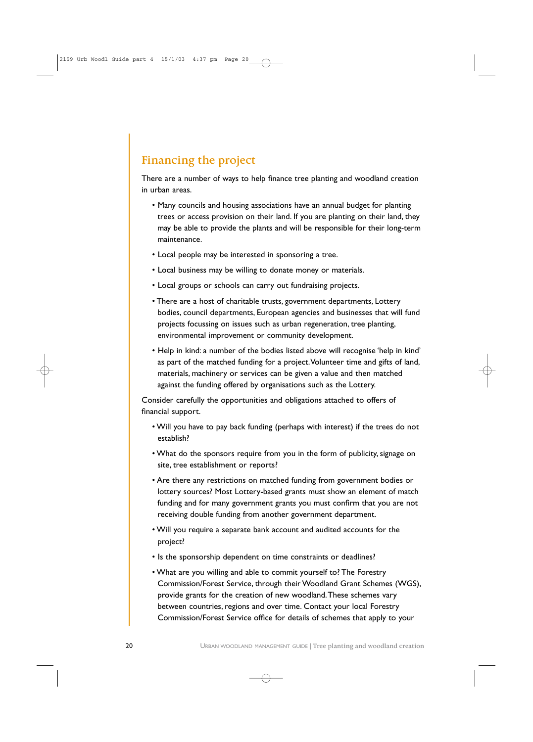## **Financing the project**

There are a number of ways to help finance tree planting and woodland creation in urban areas.

- Many councils and housing associations have an annual budget for planting trees or access provision on their land. If you are planting on their land, they may be able to provide the plants and will be responsible for their long-term maintenance.
- Local people may be interested in sponsoring a tree.
- Local business may be willing to donate money or materials.
- Local groups or schools can carry out fundraising projects.
- There are a host of charitable trusts, government departments, Lottery bodies, council departments, European agencies and businesses that will fund projects focussing on issues such as urban regeneration, tree planting, environmental improvement or community development.
- Help in kind: a number of the bodies listed above will recognise 'help in kind' as part of the matched funding for a project.Volunteer time and gifts of land, materials, machinery or services can be given a value and then matched against the funding offered by organisations such as the Lottery.

Consider carefully the opportunities and obligations attached to offers of financial support.

- Will you have to pay back funding (perhaps with interest) if the trees do not establish?
- What do the sponsors require from you in the form of publicity, signage on site, tree establishment or reports?
- Are there any restrictions on matched funding from government bodies or lottery sources? Most Lottery-based grants must show an element of match funding and for many government grants you must confirm that you are not receiving double funding from another government department.
- Will you require a separate bank account and audited accounts for the project?
- Is the sponsorship dependent on time constraints or deadlines?
- What are you willing and able to commit yourself to? The Forestry Commission/Forest Service, through their Woodland Grant Schemes (WGS), provide grants for the creation of new woodland.These schemes vary between countries, regions and over time. Contact your local Forestry Commission/Forest Service office for details of schemes that apply to your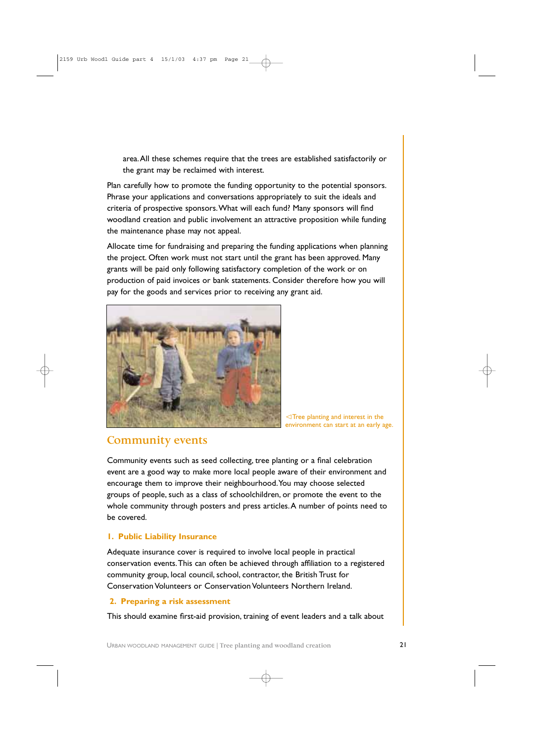area.All these schemes require that the trees are established satisfactorily or the grant may be reclaimed with interest.

Plan carefully how to promote the funding opportunity to the potential sponsors. Phrase your applications and conversations appropriately to suit the ideals and criteria of prospective sponsors.What will each fund? Many sponsors will find woodland creation and public involvement an attractive proposition while funding the maintenance phase may not appeal.

Allocate time for fundraising and preparing the funding applications when planning the project. Often work must not start until the grant has been approved. Many grants will be paid only following satisfactory completion of the work or on production of paid invoices or bank statements. Consider therefore how you will pay for the goods and services prior to receiving any grant aid.

![](_page_20_Picture_3.jpeg)

 $\lhd$ Tree planting and interest in the environment can start at an early age.

## **Community events**

Community events such as seed collecting, tree planting or a final celebration event are a good way to make more local people aware of their environment and encourage them to improve their neighbourhood.You may choose selected groups of people, such as a class of schoolchildren, or promote the event to the whole community through posters and press articles. A number of points need to be covered.

### **1. Public Liability Insurance**

Adequate insurance cover is required to involve local people in practical conservation events.This can often be achieved through affiliation to a registered community group, local council, school, contractor, the British Trust for Conservation Volunteers or Conservation Volunteers Northern Ireland.

### **2. Preparing a risk assessment**

This should examine first-aid provision, training of event leaders and a talk about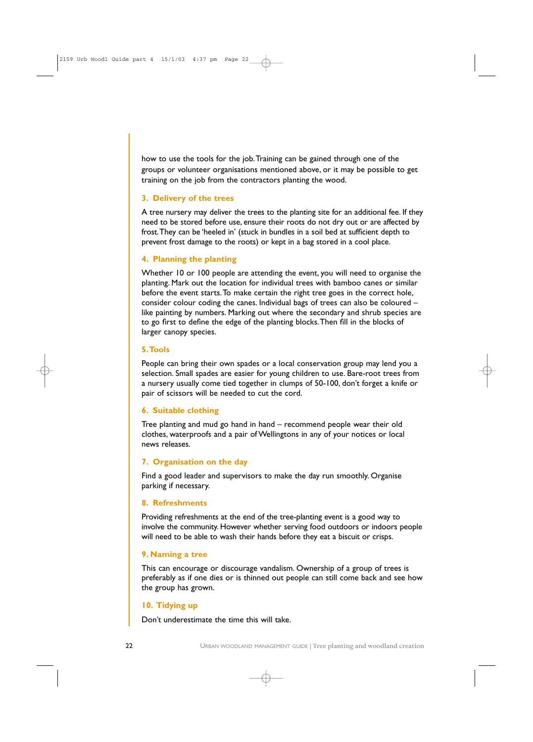how to use the tools for the job.Training can be gained through one of the groups or volunteer organisations mentioned above, or it may be possible to get training on the job from the contractors planting the wood.

### **3. Delivery of the trees**

A tree nursery may deliver the trees to the planting site for an additional fee. If they need to be stored before use, ensure their roots do not dry out or are affected by frost.They can be 'heeled in' (stuck in bundles in a soil bed at sufficient depth to prevent frost damage to the roots) or kept in a bag stored in a cool place.

### **4. Planning the planting**

Whether 10 or 100 people are attending the event, you will need to organise the planting. Mark out the location for individual trees with bamboo canes or similar before the event starts.To make certain the right tree goes in the correct hole, consider colour coding the canes. Individual bags of trees can also be coloured – like painting by numbers. Marking out where the secondary and shrub species are to go first to define the edge of the planting blocks.Then fill in the blocks of larger canopy species.

### **5.Tools**

People can bring their own spades or a local conservation group may lend you a selection. Small spades are easier for young children to use. Bare-root trees from a nursery usually come tied together in clumps of 50-100, don't forget a knife or pair of scissors will be needed to cut the cord.

### **6. Suitable clothing**

Tree planting and mud go hand in hand – recommend people wear their old clothes, waterproofs and a pair of Wellingtons in any of your notices or local news releases.

#### **7. Organisation on the day**

Find a good leader and supervisors to make the day run smoothly. Organise parking if necessary.

#### **8. Refreshments**

Providing refreshments at the end of the tree-planting event is a good way to involve the community. However whether serving food outdoors or indoors people will need to be able to wash their hands before they eat a biscuit or crisps.

### **9. Naming a tree**

This can encourage or discourage vandalism. Ownership of a group of trees is preferably as if one dies or is thinned out people can still come back and see how the group has grown.

### **10. Tidying up**

Don't underestimate the time this will take.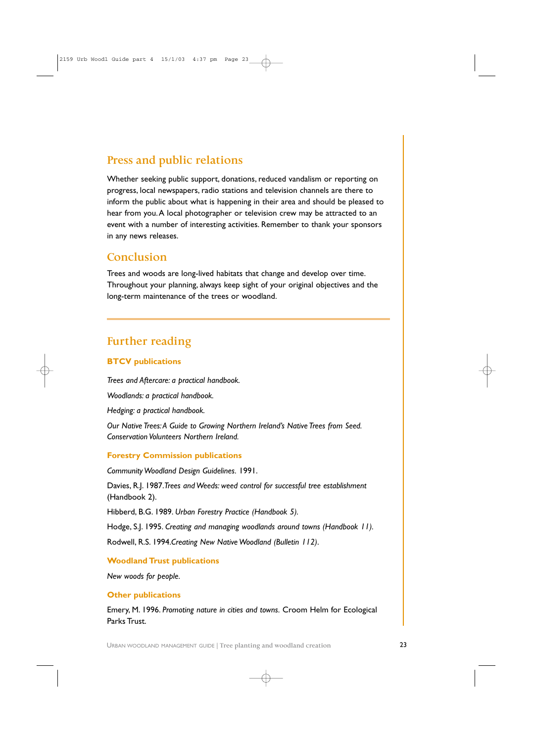## **Press and public relations**

Whether seeking public support, donations, reduced vandalism or reporting on progress, local newspapers, radio stations and television channels are there to inform the public about what is happening in their area and should be pleased to hear from you.A local photographer or television crew may be attracted to an event with a number of interesting activities. Remember to thank your sponsors in any news releases.

### **Conclusion**

Trees and woods are long-lived habitats that change and develop over time. Throughout your planning, always keep sight of your original objectives and the long-term maintenance of the trees or woodland.

## **Further reading**

### **BTCV publications**

*Trees and Aftercare: a practical handbook.*

*Woodlands: a practical handbook.*

*Hedging: a practical handbook.*

*Our Native Trees:A Guide to Growing Northern Ireland's Native Trees from Seed. Conservation Volunteers Northern Ireland.*

### **Forestry Commission publications**

*Community Woodland Design Guidelines.* 1991.

Davies, R.J. 1987.*Trees and Weeds: weed control for successful tree establishment* (Handbook 2).

Hibberd, B.G. 1989. *Urban Forestry Practice (Handbook 5).*

Hodge, S.J. 1995. *Creating and managing woodlands around towns (Handbook 11).*

Rodwell, R.S. 1994.*Creating New Native Woodland (Bulletin 112)*.

### **Woodland Trust publications**

*New woods for people.*

### **Other publications**

Emery, M. 1996. *Promoting nature in cities and towns.* Croom Helm for Ecological Parks Trust.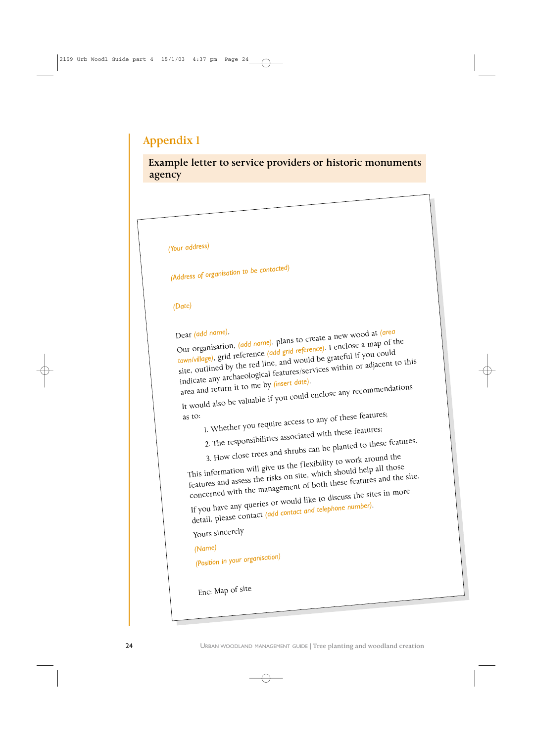## **Appendix 1**

**Example letter to service providers or historic monuments agency**

![](_page_23_Picture_2.jpeg)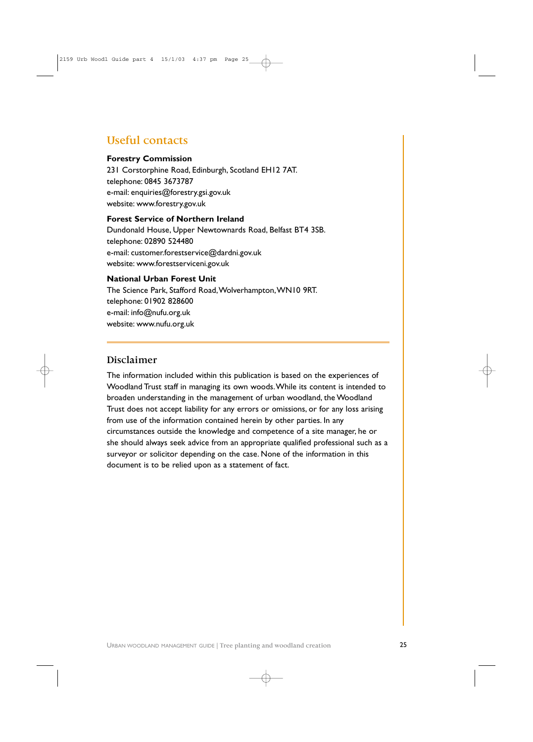## **Useful contacts**

### **Forestry Commission**

231 Corstorphine Road, Edinburgh, Scotland EH12 7AT. telephone: 0845 3673787 e-mail: enquiries@forestry.gsi.gov.uk website: www.forestry.gov.uk

### **Forest Service of Northern Ireland**

Dundonald House, Upper Newtownards Road, Belfast BT4 3SB. telephone: 02890 524480 e-mail: customer.forestservice@dardni.gov.uk website: www.forestserviceni.gov.uk

### **National Urban Forest Unit**

The Science Park, Stafford Road,Wolverhampton,WN10 9RT. telephone: 01902 828600 e-mail: info@nufu.org.uk website: www.nufu.org.uk

### **Disclaimer**

The information included within this publication is based on the experiences of Woodland Trust staff in managing its own woods.While its content is intended to broaden understanding in the management of urban woodland, the Woodland Trust does not accept liability for any errors or omissions, or for any loss arising from use of the information contained herein by other parties. In any circumstances outside the knowledge and competence of a site manager, he or she should always seek advice from an appropriate qualified professional such as a surveyor or solicitor depending on the case. None of the information in this document is to be relied upon as a statement of fact.